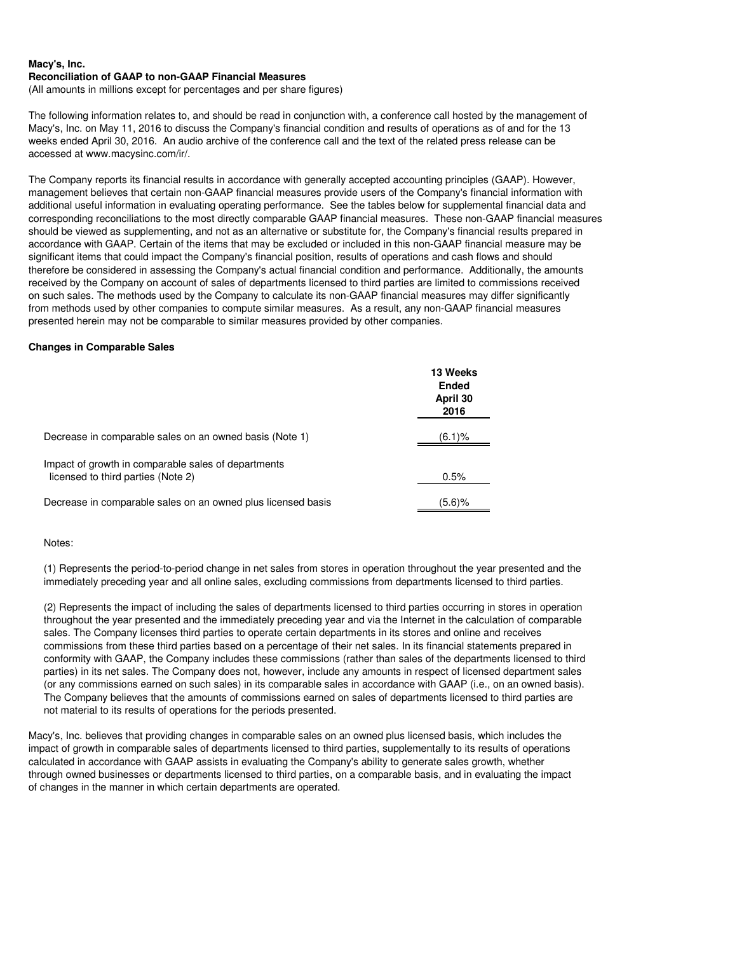(All amounts in millions except for percentages and per share figures)

The following information relates to, and should be read in conjunction with, a conference call hosted by the management of Macy's, Inc. on May 11, 2016 to discuss the Company's financial condition and results of operations as of and for the 13 weeks ended April 30, 2016. An audio archive of the conference call and the text of the related press release can be accessed at www.macysinc.com/ir/.

The Company reports its financial results in accordance with generally accepted accounting principles (GAAP). However, management believes that certain non-GAAP financial measures provide users of the Company's financial information with additional useful information in evaluating operating performance. See the tables below for supplemental financial data and corresponding reconciliations to the most directly comparable GAAP financial measures. These non-GAAP financial measures should be viewed as supplementing, and not as an alternative or substitute for, the Company's financial results prepared in accordance with GAAP. Certain of the items that may be excluded or included in this non-GAAP financial measure may be significant items that could impact the Company's financial position, results of operations and cash flows and should therefore be considered in assessing the Company's actual financial condition and performance. Additionally, the amounts received by the Company on account of sales of departments licensed to third parties are limited to commissions received on such sales. The methods used by the Company to calculate its non-GAAP financial measures may differ significantly from methods used by other companies to compute similar measures. As a result, any non-GAAP financial measures presented herein may not be comparable to similar measures provided by other companies.

## **Changes in Comparable Sales**

|                                                                                           | 13 Weeks<br><b>Ended</b><br>April 30<br>2016 |
|-------------------------------------------------------------------------------------------|----------------------------------------------|
| Decrease in comparable sales on an owned basis (Note 1)                                   | (6.1)%                                       |
| Impact of growth in comparable sales of departments<br>licensed to third parties (Note 2) | 0.5%                                         |
| Decrease in comparable sales on an owned plus licensed basis                              | (5.6)%                                       |

#### Notes:

(1) Represents the period-to-period change in net sales from stores in operation throughout the year presented and the immediately preceding year and all online sales, excluding commissions from departments licensed to third parties.

(2) Represents the impact of including the sales of departments licensed to third parties occurring in stores in operation throughout the year presented and the immediately preceding year and via the Internet in the calculation of comparable sales. The Company licenses third parties to operate certain departments in its stores and online and receives commissions from these third parties based on a percentage of their net sales. In its financial statements prepared in conformity with GAAP, the Company includes these commissions (rather than sales of the departments licensed to third parties) in its net sales. The Company does not, however, include any amounts in respect of licensed department sales (or any commissions earned on such sales) in its comparable sales in accordance with GAAP (i.e., on an owned basis). The Company believes that the amounts of commissions earned on sales of departments licensed to third parties are not material to its results of operations for the periods presented.

Macy's, Inc. believes that providing changes in comparable sales on an owned plus licensed basis, which includes the impact of growth in comparable sales of departments licensed to third parties, supplementally to its results of operations calculated in accordance with GAAP assists in evaluating the Company's ability to generate sales growth, whether through owned businesses or departments licensed to third parties, on a comparable basis, and in evaluating the impact of changes in the manner in which certain departments are operated.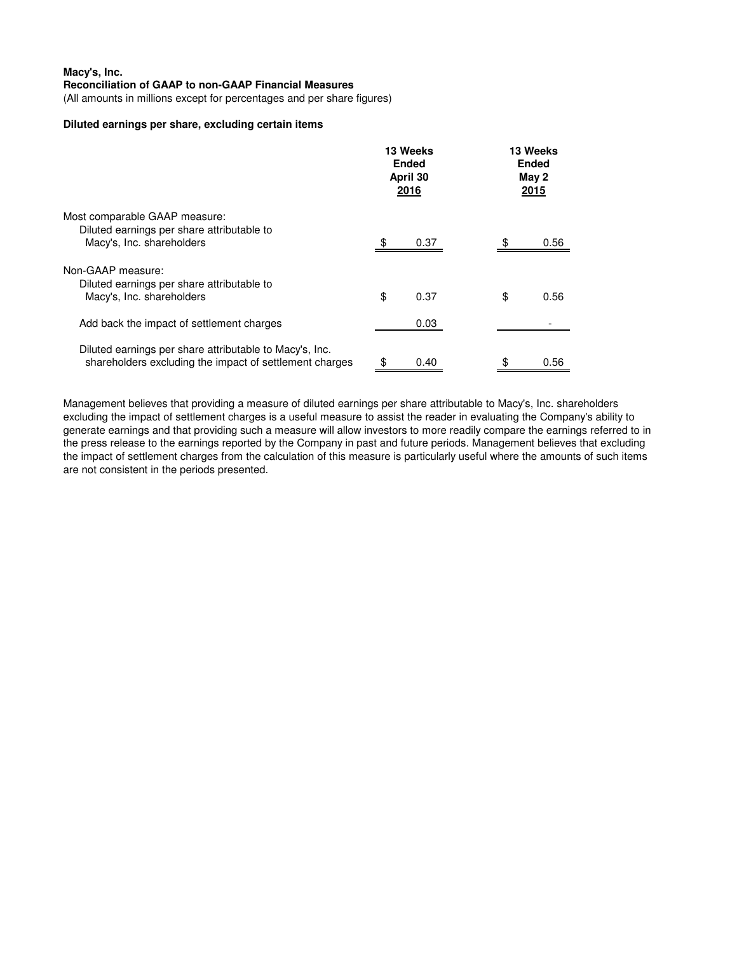(All amounts in millions except for percentages and per share figures)

# **Diluted earnings per share, excluding certain items**

|                                                                                                                    |    | 13 Weeks<br><b>Ended</b><br>April 30<br>2016 |    | 13 Weeks<br><b>Ended</b><br>May 2<br>2015 |  |
|--------------------------------------------------------------------------------------------------------------------|----|----------------------------------------------|----|-------------------------------------------|--|
| Most comparable GAAP measure:<br>Diluted earnings per share attributable to<br>Macy's, Inc. shareholders           |    | 0.37                                         |    | 0.56                                      |  |
| Non-GAAP measure:<br>Diluted earnings per share attributable to<br>Macy's, Inc. shareholders                       | \$ | 0.37                                         | \$ | 0.56                                      |  |
| Add back the impact of settlement charges                                                                          |    | 0.03                                         |    |                                           |  |
| Diluted earnings per share attributable to Macy's, Inc.<br>shareholders excluding the impact of settlement charges | \$ | 0.40                                         | \$ | 0.56                                      |  |

Management believes that providing a measure of diluted earnings per share attributable to Macy's, Inc. shareholders excluding the impact of settlement charges is a useful measure to assist the reader in evaluating the Company's ability to generate earnings and that providing such a measure will allow investors to more readily compare the earnings referred to in the press release to the earnings reported by the Company in past and future periods. Management believes that excluding the impact of settlement charges from the calculation of this measure is particularly useful where the amounts of such items are not consistent in the periods presented.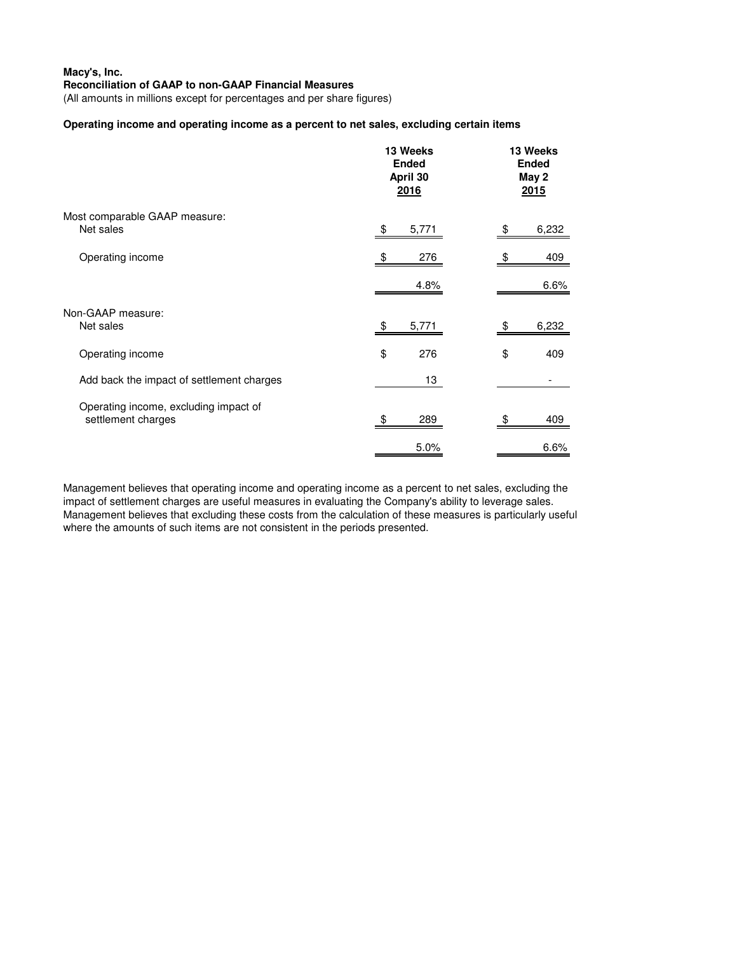(All amounts in millions except for percentages and per share figures)

## **Operating income and operating income as a percent to net sales, excluding certain items**

|                                                             | 13 Weeks<br><b>Ended</b><br>April 30<br>2016 | 13 Weeks<br><b>Ended</b><br>May 2<br>2015 |       |
|-------------------------------------------------------------|----------------------------------------------|-------------------------------------------|-------|
| Most comparable GAAP measure:<br>Net sales                  | \$<br>5,771                                  | \$                                        | 6,232 |
| Operating income                                            | 276<br>\$                                    | \$                                        | 409   |
|                                                             | 4.8%                                         |                                           | 6.6%  |
| Non-GAAP measure:<br>Net sales                              | 5,771<br>\$                                  | \$                                        | 6,232 |
| Operating income                                            | \$<br>276                                    | \$                                        | 409   |
| Add back the impact of settlement charges                   | 13                                           |                                           |       |
| Operating income, excluding impact of<br>settlement charges | 289                                          |                                           | 409   |
|                                                             | 5.0%                                         |                                           | 6.6%  |

Management believes that operating income and operating income as a percent to net sales, excluding the impact of settlement charges are useful measures in evaluating the Company's ability to leverage sales. Management believes that excluding these costs from the calculation of these measures is particularly useful where the amounts of such items are not consistent in the periods presented.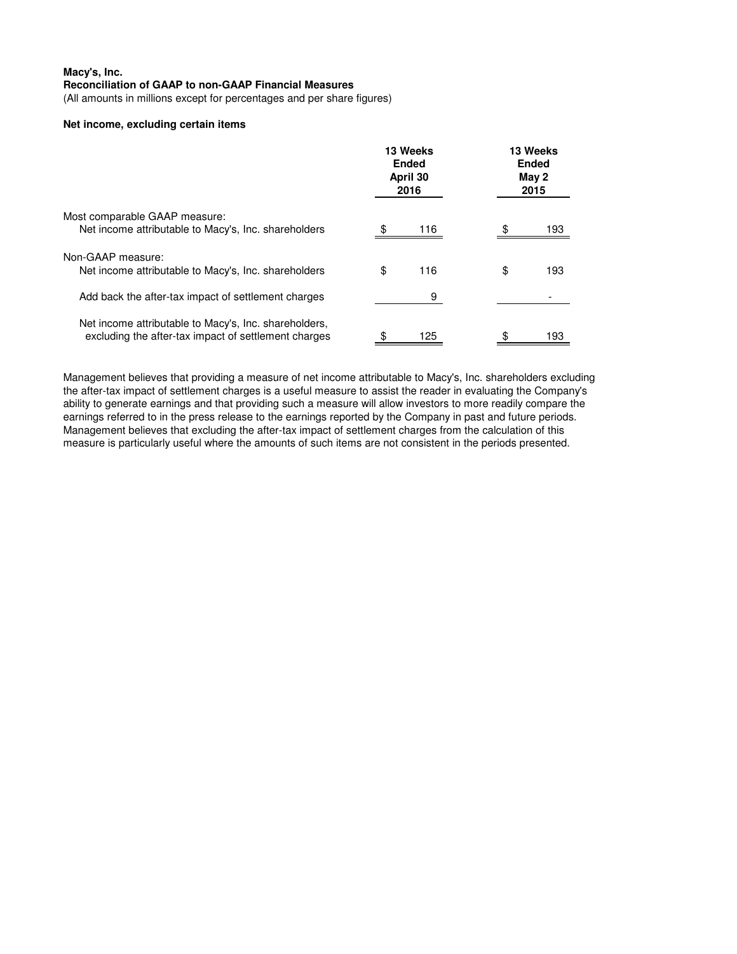(All amounts in millions except for percentages and per share figures)

# **Net income, excluding certain items**

|                                                                                                               | 13 Weeks<br><b>Ended</b><br>April 30<br>2016 |     | 13 Weeks<br><b>Ended</b><br>May 2<br>2015 |     |
|---------------------------------------------------------------------------------------------------------------|----------------------------------------------|-----|-------------------------------------------|-----|
| Most comparable GAAP measure:<br>Net income attributable to Macy's, Inc. shareholders                         |                                              | 116 |                                           | 193 |
| Non-GAAP measure:<br>Net income attributable to Macy's, Inc. shareholders                                     | \$                                           | 116 | \$                                        | 193 |
| Add back the after-tax impact of settlement charges                                                           |                                              | 9   |                                           |     |
| Net income attributable to Macy's, Inc. shareholders,<br>excluding the after-tax impact of settlement charges |                                              | 125 |                                           | 93  |

Management believes that providing a measure of net income attributable to Macy's, Inc. shareholders excluding the after-tax impact of settlement charges is a useful measure to assist the reader in evaluating the Company's ability to generate earnings and that providing such a measure will allow investors to more readily compare the earnings referred to in the press release to the earnings reported by the Company in past and future periods. Management believes that excluding the after-tax impact of settlement charges from the calculation of this measure is particularly useful where the amounts of such items are not consistent in the periods presented.